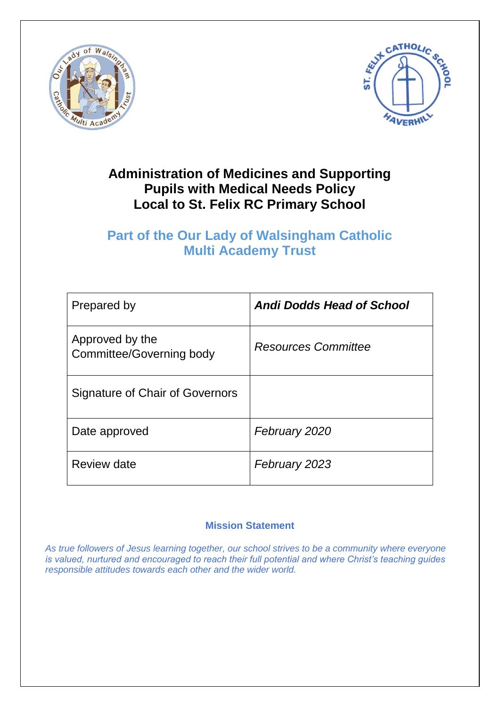



## **Administration of Medicines and Supporting Pupils with Medical Needs Policy Local to St. Felix RC Primary School**

## **Part of the Our Lady of Walsingham Catholic Multi Academy Trust**

| Prepared by                                 | <b>Andi Dodds Head of School</b> |
|---------------------------------------------|----------------------------------|
| Approved by the<br>Committee/Governing body | <b>Resources Committee</b>       |
| Signature of Chair of Governors             |                                  |
| Date approved                               | February 2020                    |
| Review date                                 | February 2023                    |

### **Mission Statement**

*As true followers of Jesus learning together, our school strives to be a community where everyone is valued, nurtured and encouraged to reach their full potential and where Christ's teaching guides responsible attitudes towards each other and the wider world.*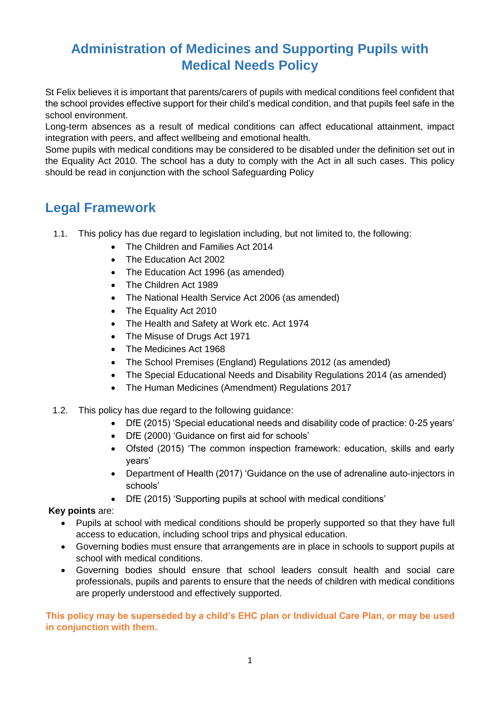# **Administration of Medicines and Supporting Pupils with Medical Needs Policy**

St Felix believes it is important that parents/carers of pupils with medical conditions feel confident that the school provides effective support for their child's medical condition, and that pupils feel safe in the school environment.

Long-term absences as a result of medical conditions can affect educational attainment, impact integration with peers, and affect wellbeing and emotional health.

Some pupils with medical conditions may be considered to be disabled under the definition set out in the Equality Act 2010. The school has a duty to comply with the Act in all such cases. This policy should be read in conjunction with the school Safeguarding Policy

## **Legal Framework**

- 1.1. This policy has due regard to legislation including, but not limited to, the following:
	- The Children and Families Act 2014
	- The Education Act 2002
	- The Education Act 1996 (as amended)
	- The Children Act 1989
	- The National Health Service Act 2006 (as amended)
	- The Equality Act 2010
	- The Health and Safety at Work etc. Act 1974
	- The Misuse of Drugs Act 1971
	- The Medicines Act 1968
	- The School Premises (England) Regulations 2012 (as amended)
	- The Special Educational Needs and Disability Regulations 2014 (as amended)
	- The Human Medicines (Amendment) Regulations 2017
- 1.2. This policy has due regard to the following guidance:
	- DfE (2015) 'Special educational needs and disability code of practice: 0-25 years'
	- DfE (2000) 'Guidance on first aid for schools'
	- Ofsted (2015) 'The common inspection framework: education, skills and early years'
	- Department of Health (2017) 'Guidance on the use of adrenaline auto-injectors in schools'
	- DfE (2015) 'Supporting pupils at school with medical conditions'

#### **Key points** are:

- Pupils at school with medical conditions should be properly supported so that they have full access to education, including school trips and physical education.
- Governing bodies must ensure that arrangements are in place in schools to support pupils at school with medical conditions.
- Governing bodies should ensure that school leaders consult health and social care professionals, pupils and parents to ensure that the needs of children with medical conditions are properly understood and effectively supported.

**This policy may be superseded by a child's EHC plan or Individual Care Plan, or may be used in conjunction with them.**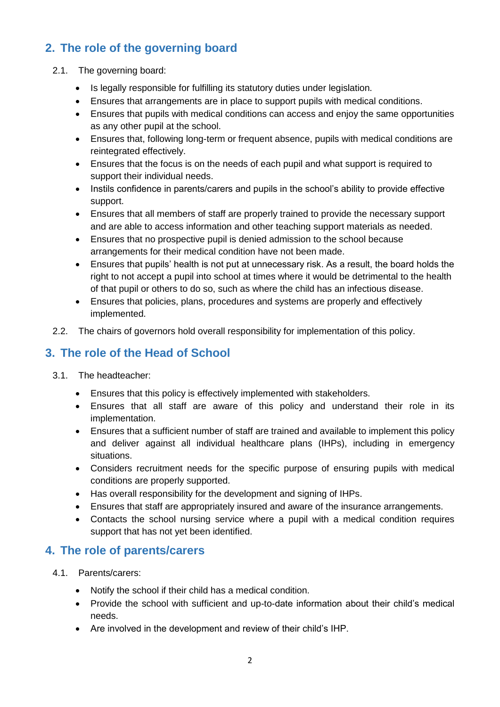## **2. The role of the governing board**

- 2.1. The governing board:
	- Is legally responsible for fulfilling its statutory duties under legislation.
	- Ensures that arrangements are in place to support pupils with medical conditions.
	- Ensures that pupils with medical conditions can access and enjoy the same opportunities as any other pupil at the school.
	- Ensures that, following long-term or frequent absence, pupils with medical conditions are reintegrated effectively.
	- Ensures that the focus is on the needs of each pupil and what support is required to support their individual needs.
	- Instils confidence in parents/carers and pupils in the school's ability to provide effective support.
	- Ensures that all members of staff are properly trained to provide the necessary support and are able to access information and other teaching support materials as needed.
	- Ensures that no prospective pupil is denied admission to the school because arrangements for their medical condition have not been made.
	- Ensures that pupils' health is not put at unnecessary risk. As a result, the board holds the right to not accept a pupil into school at times where it would be detrimental to the health of that pupil or others to do so, such as where the child has an infectious disease.
	- Ensures that policies, plans, procedures and systems are properly and effectively implemented.
- 2.2. The chairs of governors hold overall responsibility for implementation of this policy.

## **3. The role of the Head of School**

- 3.1. The headteacher:
	- Ensures that this policy is effectively implemented with stakeholders.
	- Ensures that all staff are aware of this policy and understand their role in its implementation.
	- Ensures that a sufficient number of staff are trained and available to implement this policy and deliver against all individual healthcare plans (IHPs), including in emergency situations.
	- Considers recruitment needs for the specific purpose of ensuring pupils with medical conditions are properly supported.
	- Has overall responsibility for the development and signing of IHPs.
	- Ensures that staff are appropriately insured and aware of the insurance arrangements.
	- Contacts the school nursing service where a pupil with a medical condition requires support that has not yet been identified.

### **4. The role of parents/carers**

- 4.1. Parents/carers:
	- Notify the school if their child has a medical condition.
	- Provide the school with sufficient and up-to-date information about their child's medical needs.
	- Are involved in the development and review of their child's IHP.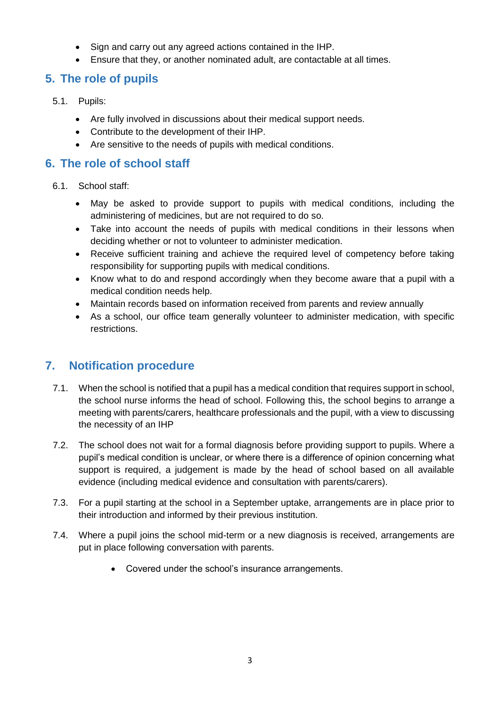- Sign and carry out any agreed actions contained in the IHP.
- Ensure that they, or another nominated adult, are contactable at all times.

### **5. The role of pupils**

- 5.1. Pupils:
	- Are fully involved in discussions about their medical support needs.
	- Contribute to the development of their IHP.
	- Are sensitive to the needs of pupils with medical conditions.

#### **6. The role of school staff**

- 6.1. School staff:
	- May be asked to provide support to pupils with medical conditions, including the administering of medicines, but are not required to do so.
	- Take into account the needs of pupils with medical conditions in their lessons when deciding whether or not to volunteer to administer medication.
	- Receive sufficient training and achieve the required level of competency before taking responsibility for supporting pupils with medical conditions.
	- Know what to do and respond accordingly when they become aware that a pupil with a medical condition needs help.
	- Maintain records based on information received from parents and review annually
	- As a school, our office team generally volunteer to administer medication, with specific restrictions.

### **7. Notification procedure**

- 7.1. When the school is notified that a pupil has a medical condition that requires support in school, the school nurse informs the head of school. Following this, the school begins to arrange a meeting with parents/carers, healthcare professionals and the pupil, with a view to discussing the necessity of an IHP
- 7.2. The school does not wait for a formal diagnosis before providing support to pupils. Where a pupil's medical condition is unclear, or where there is a difference of opinion concerning what support is required, a judgement is made by the head of school based on all available evidence (including medical evidence and consultation with parents/carers).
- 7.3. For a pupil starting at the school in a September uptake, arrangements are in place prior to their introduction and informed by their previous institution.
- 7.4. Where a pupil joins the school mid-term or a new diagnosis is received, arrangements are put in place following conversation with parents.
	- Covered under the school's insurance arrangements.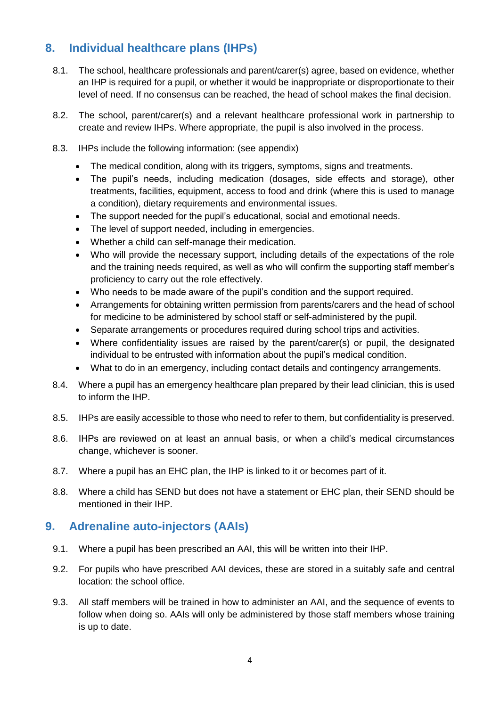### **8. Individual healthcare plans (IHPs)**

- 8.1. The school, healthcare professionals and parent/carer(s) agree, based on evidence, whether an IHP is required for a pupil, or whether it would be inappropriate or disproportionate to their level of need. If no consensus can be reached, the head of school makes the final decision.
- 8.2. The school, parent/carer(s) and a relevant healthcare professional work in partnership to create and review IHPs. Where appropriate, the pupil is also involved in the process.
- 8.3. IHPs include the following information: (see appendix)
	- The medical condition, along with its triggers, symptoms, signs and treatments.
	- The pupil's needs, including medication (dosages, side effects and storage), other treatments, facilities, equipment, access to food and drink (where this is used to manage a condition), dietary requirements and environmental issues.
	- The support needed for the pupil's educational, social and emotional needs.
	- The level of support needed, including in emergencies.
	- Whether a child can self-manage their medication.
	- Who will provide the necessary support, including details of the expectations of the role and the training needs required, as well as who will confirm the supporting staff member's proficiency to carry out the role effectively.
	- Who needs to be made aware of the pupil's condition and the support required.
	- Arrangements for obtaining written permission from parents/carers and the head of school for medicine to be administered by school staff or self-administered by the pupil.
	- Separate arrangements or procedures required during school trips and activities.
	- Where confidentiality issues are raised by the parent/carer(s) or pupil, the designated individual to be entrusted with information about the pupil's medical condition.
	- What to do in an emergency, including contact details and contingency arrangements.
- 8.4. Where a pupil has an emergency healthcare plan prepared by their lead clinician, this is used to inform the IHP.
- 8.5. IHPs are easily accessible to those who need to refer to them, but confidentiality is preserved.
- 8.6. IHPs are reviewed on at least an annual basis, or when a child's medical circumstances change, whichever is sooner.
- 8.7. Where a pupil has an EHC plan, the IHP is linked to it or becomes part of it.
- 8.8. Where a child has SEND but does not have a statement or EHC plan, their SEND should be mentioned in their IHP.

#### **9. Adrenaline auto-injectors (AAIs)**

- 9.1. Where a pupil has been prescribed an AAI, this will be written into their IHP.
- 9.2. For pupils who have prescribed AAI devices, these are stored in a suitably safe and central location: the school office.
- 9.3. All staff members will be trained in how to administer an AAI, and the sequence of events to follow when doing so. AAIs will only be administered by those staff members whose training is up to date.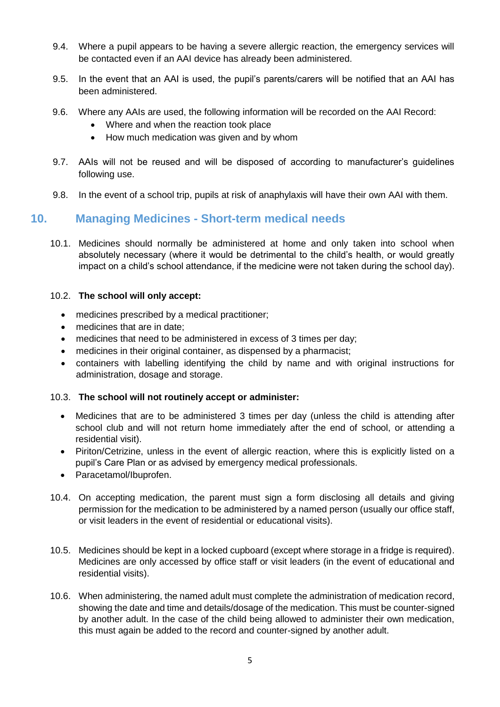- 9.4. Where a pupil appears to be having a severe allergic reaction, the emergency services will be contacted even if an AAI device has already been administered.
- 9.5. In the event that an AAI is used, the pupil's parents/carers will be notified that an AAI has been administered.
- 9.6. Where any AAIs are used, the following information will be recorded on the AAI Record:
	- Where and when the reaction took place
	- How much medication was given and by whom
- 9.7. AAIs will not be reused and will be disposed of according to manufacturer's guidelines following use.
- 9.8. In the event of a school trip, pupils at risk of anaphylaxis will have their own AAI with them.

#### **10. Managing Medicines - Short-term medical needs**

10.1. Medicines should normally be administered at home and only taken into school when absolutely necessary (where it would be detrimental to the child's health, or would greatly impact on a child's school attendance, if the medicine were not taken during the school day).

#### 10.2. **The school will only accept:**

- medicines prescribed by a medical practitioner;
- medicines that are in date:
- medicines that need to be administered in excess of 3 times per day;
- medicines in their original container, as dispensed by a pharmacist;
- containers with labelling identifying the child by name and with original instructions for administration, dosage and storage.

#### 10.3. **The school will not routinely accept or administer:**

- Medicines that are to be administered 3 times per day (unless the child is attending after school club and will not return home immediately after the end of school, or attending a residential visit).
- Piriton/Cetrizine, unless in the event of allergic reaction, where this is explicitly listed on a pupil's Care Plan or as advised by emergency medical professionals.
- Paracetamol/Ibuprofen.
- 10.4. On accepting medication, the parent must sign a form disclosing all details and giving permission for the medication to be administered by a named person (usually our office staff, or visit leaders in the event of residential or educational visits).
- 10.5. Medicines should be kept in a locked cupboard (except where storage in a fridge is required). Medicines are only accessed by office staff or visit leaders (in the event of educational and residential visits).
- 10.6. When administering, the named adult must complete the administration of medication record, showing the date and time and details/dosage of the medication. This must be counter-signed by another adult. In the case of the child being allowed to administer their own medication, this must again be added to the record and counter-signed by another adult.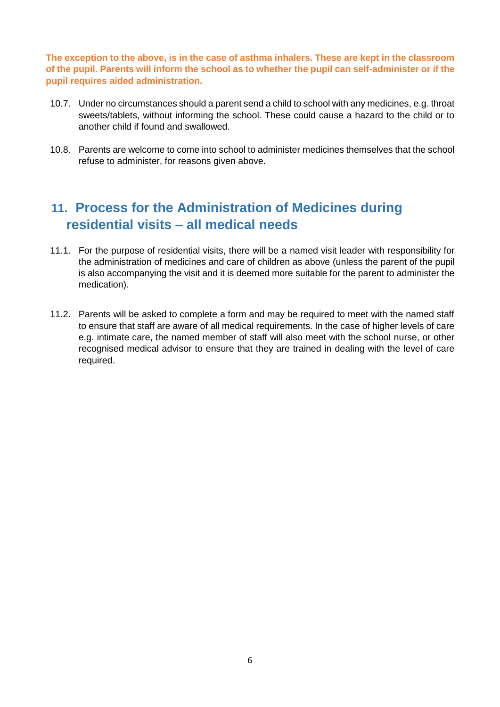**The exception to the above, is in the case of asthma inhalers. These are kept in the classroom of the pupil. Parents will inform the school as to whether the pupil can self-administer or if the pupil requires aided administration.** 

- 10.7. Under no circumstances should a parent send a child to school with any medicines, e.g. throat sweets/tablets, without informing the school. These could cause a hazard to the child or to another child if found and swallowed.
- 10.8. Parents are welcome to come into school to administer medicines themselves that the school refuse to administer, for reasons given above.

## **11. Process for the Administration of Medicines during residential visits – all medical needs**

- 11.1. For the purpose of residential visits, there will be a named visit leader with responsibility for the administration of medicines and care of children as above (unless the parent of the pupil is also accompanying the visit and it is deemed more suitable for the parent to administer the medication).
- 11.2. Parents will be asked to complete a form and may be required to meet with the named staff to ensure that staff are aware of all medical requirements. In the case of higher levels of care e.g. intimate care, the named member of staff will also meet with the school nurse, or other recognised medical advisor to ensure that they are trained in dealing with the level of care required.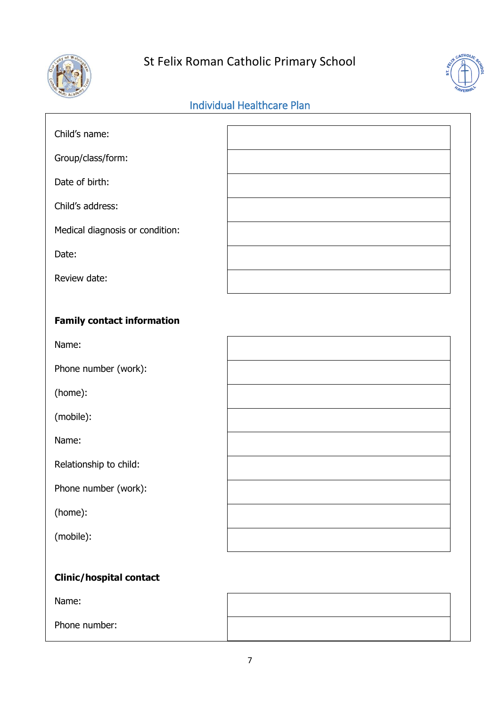

# St Felix Roman Catholic Primary School



## Individual Healthcare Plan

| Child's name:                     |  |
|-----------------------------------|--|
| Group/class/form:                 |  |
| Date of birth:                    |  |
| Child's address:                  |  |
| Medical diagnosis or condition:   |  |
| Date:                             |  |
| Review date:                      |  |
|                                   |  |
| <b>Family contact information</b> |  |
| Name:                             |  |
| Phone number (work):              |  |
| (home):                           |  |
| (mobile):                         |  |
| Name:                             |  |
| Relationship to child:            |  |
| Phone number (work):              |  |
| (home):                           |  |
| (mobile):                         |  |
| <b>Clinic/hospital contact</b>    |  |

Name:

Phone number: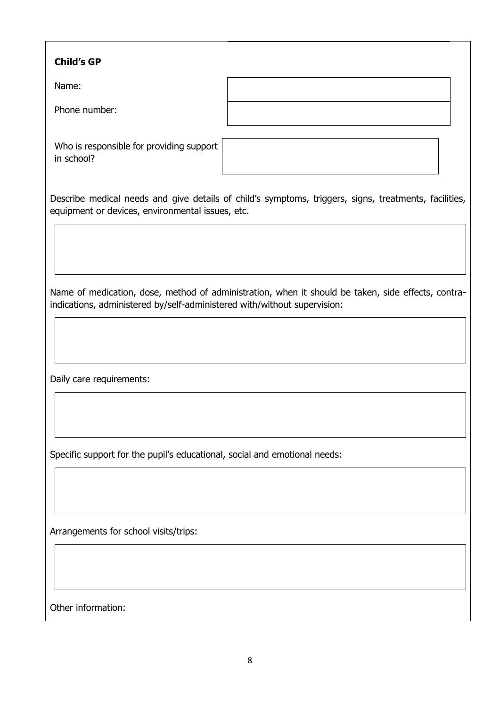| <b>Child's GP</b>                                                                                                                                                              |  |  |
|--------------------------------------------------------------------------------------------------------------------------------------------------------------------------------|--|--|
| Name:                                                                                                                                                                          |  |  |
| Phone number:                                                                                                                                                                  |  |  |
| Who is responsible for providing support<br>in school?                                                                                                                         |  |  |
| Describe medical needs and give details of child's symptoms, triggers, signs, treatments, facilities,<br>equipment or devices, environmental issues, etc.                      |  |  |
|                                                                                                                                                                                |  |  |
| Name of medication, dose, method of administration, when it should be taken, side effects, contra-<br>indications, administered by/self-administered with/without supervision: |  |  |
|                                                                                                                                                                                |  |  |
| Daily care requirements:                                                                                                                                                       |  |  |
|                                                                                                                                                                                |  |  |
| Specific support for the pupil's educational, social and emotional needs:                                                                                                      |  |  |
|                                                                                                                                                                                |  |  |
| Arrangements for school visits/trips:                                                                                                                                          |  |  |
|                                                                                                                                                                                |  |  |
| Other information:                                                                                                                                                             |  |  |